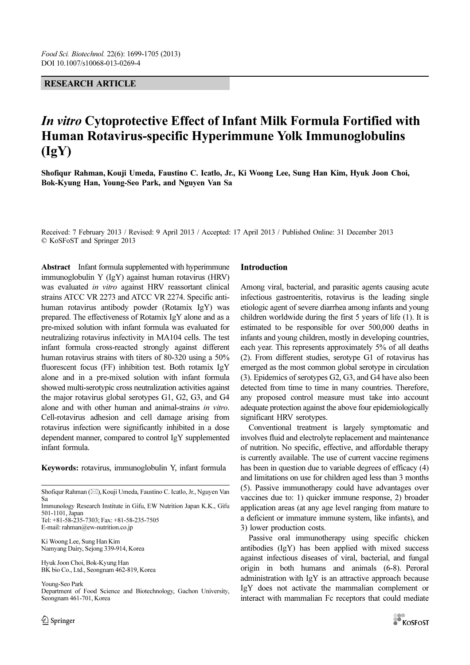## RESEARCH ARTICLE

# In vitro Cytoprotective Effect of Infant Milk Formula Fortified with Human Rotavirus-specific Hyperimmune Yolk Immunoglobulins (IgY)

Shofiqur Rahman, Kouji Umeda, Faustino C. Icatlo, Jr., Ki Woong Lee, Sung Han Kim, Hyuk Joon Choi, Bok-Kyung Han, Young-Seo Park, and Nguyen Van Sa

Received: 7 February 2013 / Revised: 9 April 2013 / Accepted: 17 April 2013 / Published Online: 31 December 2013 © KoSFoST and Springer 2013

Abstract Infant formula supplemented with hyperimmune immunoglobulin Y (IgY) against human rotavirus (HRV) was evaluated in vitro against HRV reassortant clinical strains ATCC VR 2273 and ATCC VR 2274. Specific antihuman rotavirus antibody powder (Rotamix IgY) was prepared. The effectiveness of Rotamix IgY alone and as a pre-mixed solution with infant formula was evaluated for neutralizing rotavirus infectivity in MA104 cells. The test infant formula cross-reacted strongly against different human rotavirus strains with titers of 80-320 using a 50% fluorescent focus (FF) inhibition test. Both rotamix IgY alone and in a pre-mixed solution with infant formula showed multi-serotypic cross neutralization activities against the major rotavirus global serotypes G1, G2, G3, and G4 alone and with other human and animal-strains in vitro. Cell-rotavirus adhesion and cell damage arising from rotavirus infection were significantly inhibited in a dose dependent manner, compared to control IgY supplemented infant formula.

Keywords: rotavirus, immunoglobulin Y, infant formula

Shofiqur Rahman ( $\boxtimes$ ), Kouji Umeda, Faustino C. Icatlo, Jr., Nguyen Van Sa

Immunology Research Institute in Gifu, EW Nutrition Japan K.K., Gifu 501-1101, Japan

Tel: +81-58-235-7303; Fax: +81-58-235-7505 E-mail: rahman@ew-nutrition.co.jp

Ki Woong Lee, Sung Han Kim Namyang Dairy, Sejong 339-914, Korea

Hyuk Joon Choi, Bok-Kyung Han BK bio Co., Ltd., Seongnam 462-819, Korea

Young-Seo Park Department of Food Science and Biotechnology, Gachon University, Seongnam 461-701, Korea

## Introduction

Among viral, bacterial, and parasitic agents causing acute infectious gastroenteritis, rotavirus is the leading single etiologic agent of severe diarrhea among infants and young children worldwide during the first 5 years of life (1). It is estimated to be responsible for over 500,000 deaths in infants and young children, mostly in developing countries, each year. This represents approximately 5% of all deaths (2). From different studies, serotype G1 of rotavirus has emerged as the most common global serotype in circulation (3). Epidemics of serotypes G2, G3, and G4 have also been detected from time to time in many countries. Therefore, any proposed control measure must take into account adequate protection against the above four epidemiologically significant HRV serotypes.

Conventional treatment is largely symptomatic and involves fluid and electrolyte replacement and maintenance of nutrition. No specific, effective, and affordable therapy is currently available. The use of current vaccine regimens has been in question due to variable degrees of efficacy (4) and limitations on use for children aged less than 3 months (5). Passive immunotherapy could have advantages over vaccines due to: 1) quicker immune response, 2) broader application areas (at any age level ranging from mature to a deficient or immature immune system, like infants), and 3) lower production costs.

Passive oral immunotherapy using specific chicken antibodies (IgY) has been applied with mixed success against infectious diseases of viral, bacterial, and fungal origin in both humans and animals (6-8). Peroral administration with IgY is an attractive approach because IgY does not activate the mammalian complement or interact with mammalian Fc receptors that could mediate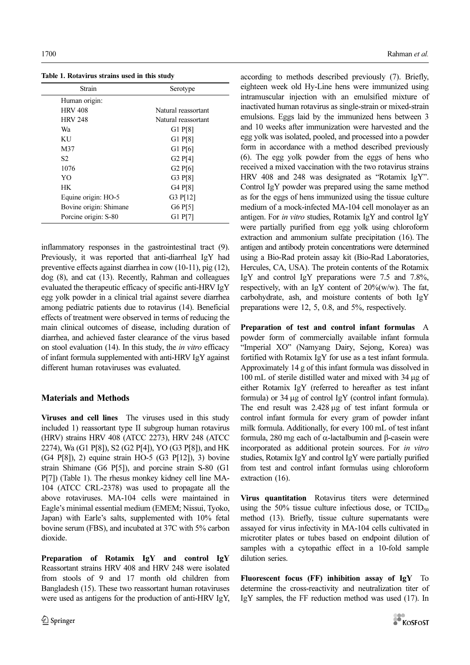Table 1. Rotavirus strains used in this study

| Strain                 | Serotype            |
|------------------------|---------------------|
| Human origin:          |                     |
| <b>HRV 408</b>         | Natural reassortant |
| <b>HRV 248</b>         | Natural reassortant |
| Wa                     | G1 P[8]             |
| <b>KU</b>              | G1 P[8]             |
| M37                    | $G1$ $P[6]$         |
| S2                     | G2P[4]              |
| 1076                   | G2P[6]              |
| YO                     | G3 P[8]             |
| <b>HK</b>              | G4 P[8]             |
| Equine origin: HO-5    | G3 P[12]            |
| Bovine origin: Shimane | G6P[5]              |
| Porcine origin: S-80   | G1 P[7]             |

inflammatory responses in the gastrointestinal tract (9). Previously, it was reported that anti-diarrheal IgY had preventive effects against diarrhea in cow (10-11), pig (12), dog (8), and cat (13). Recently, Rahman and colleagues evaluated the therapeutic efficacy of specific anti-HRV IgY egg yolk powder in a clinical trial against severe diarrhea among pediatric patients due to rotavirus (14). Beneficial effects of treatment were observed in terms of reducing the main clinical outcomes of disease, including duration of diarrhea, and achieved faster clearance of the virus based on stool evaluation (14). In this study, the in vitro efficacy of infant formula supplemented with anti-HRV IgY against different human rotaviruses was evaluated.

# Materials and Methods

Viruses and cell lines The viruses used in this study included 1) reassortant type II subgroup human rotavirus (HRV) strains HRV 408 (ATCC 2273), HRV 248 (ATCC 2274), Wa (G1 P[8]), S2 (G2 P[4]), YO (G3 P[8]), and HK (G4 P[8]), 2) equine strain HO-5 (G3 P[12]), 3) bovine strain Shimane (G6 P[5]), and porcine strain S-80 (G1 P[7]) (Table 1). The rhesus monkey kidney cell line MA-104 (ATCC CRL-2378) was used to propagate all the above rotaviruses. MA-104 cells were maintained in Eagle's minimal essential medium (EMEM; Nissui, Tyoko, Japan) with Earle's salts, supplemented with 10% fetal bovine serum (FBS), and incubated at 37C with 5% carbon dioxide.

Preparation of Rotamix IgY and control IgY Reassortant strains HRV 408 and HRV 248 were isolated from stools of 9 and 17 month old children from Bangladesh (15). These two reassortant human rotaviruses were used as antigens for the production of anti-HRV IgY, according to methods described previously (7). Briefly, eighteen week old Hy-Line hens were immunized using intramuscular injection with an emulsified mixture of inactivated human rotavirus as single-strain or mixed-strain emulsions. Eggs laid by the immunized hens between 3 and 10 weeks after immunization were harvested and the egg yolk was isolated, pooled, and processed into a powder form in accordance with a method described previously (6). The egg yolk powder from the eggs of hens who received a mixed vaccination with the two rotavirus strains HRV 408 and 248 was designated as "Rotamix IgY". Control IgY powder was prepared using the same method as for the eggs of hens immunized using the tissue culture medium of a mock-infected MA-104 cell monolayer as an antigen. For in vitro studies, Rotamix IgY and control IgY were partially purified from egg yolk using chloroform extraction and ammonium sulfate precipitation (16). The antigen and antibody protein concentrations were determined using a Bio-Rad protein assay kit (Bio-Rad Laboratories, Hercules, CA, USA). The protein contents of the Rotamix IgY and control IgY preparations were 7.5 and 7.8%, respectively, with an IgY content of  $20\%$  (w/w). The fat, carbohydrate, ash, and moisture contents of both IgY preparations were 12, 5, 0.8, and 5%, respectively.

Preparation of test and control infant formulas A powder form of commercially available infant formula "Imperial XO" (Namyang Dairy, Sejong, Korea) was fortified with Rotamix IgY for use as a test infant formula. Approximately 14 g of this infant formula was dissolved in 100 mL of sterile distilled water and mixed with 34 µg of either Rotamix IgY (referred to hereafter as test infant formula) or  $34 \mu$ g of control IgY (control infant formula). The end result was 2.428 µg of test infant formula or control infant formula for every gram of powder infant milk formula. Additionally, for every 100 mL of test infant formula, 280 mg each of α-lactalbumin and β-casein were incorporated as additional protein sources. For in vitro studies, Rotamix IgY and control IgY were partially purified from test and control infant formulas using chloroform extraction (16).

Virus quantitation Rotavirus titers were determined using the  $50\%$  tissue culture infectious dose, or  $TCID_{50}$ method (13). Briefly, tissue culture supernatants were assayed for virus infectivity in MA-104 cells cultivated in microtiter plates or tubes based on endpoint dilution of samples with a cytopathic effect in a 10-fold sample dilution series.

Fluorescent focus (FF) inhibition assay of IgY To determine the cross-reactivity and neutralization titer of IgY samples, the FF reduction method was used (17). In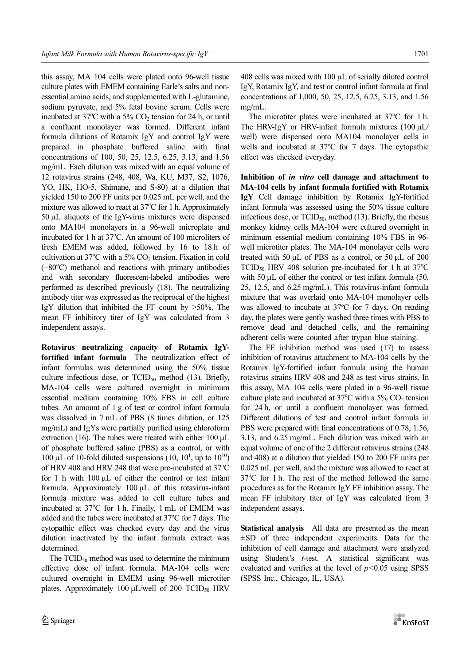this assay, MA 104 cells were plated onto 96-well tissue culture plates with EMEM containing Earle's salts and nonessential amino acids, and supplemented with L-glutamine, sodium pyruvate, and 5% fetal bovine serum. Cells were incubated at  $37^{\circ}$ C with a 5% CO<sub>2</sub> tension for 24 h, or until a confluent monolayer was formed. Different infant formula dilutions of Rotamix IgY and control IgY were prepared in phosphate buffered saline with final concentrations of 100, 50, 25, 12.5, 6.25, 3.13, and 1.56 mg/mL. Each dilution was mixed with an equal volume of 12 rotavirus strains (248, 408, Wa, KU, M37, S2, 1076, YO, HK, HO-5, Shimane, and S-80) at a dilution that yielded 150 to 200 FF units per 0.025 mL per well, and the mixture was allowed to react at 37°C for 1 h. Approximately 50 µL aliquots of the IgY-virus mixtures were dispensed onto MA104 monolayers in a 96-well microplate and incubated for 1 h at 37°C. An amount of 100 microliters of fresh EMEM was added, followed by 16 to 18 h of cultivation at 37°C with a 5%  $CO<sub>2</sub>$  tension. Fixation in cold (-80°C) methanol and reactions with primary antibodies and with secondary fluorescent-labeled antibodies were performed as described previously (18). The neutralizing antibody titer was expressed as the reciprocal of the highest IgY dilution that inhibited the FF count by  $>50\%$ . The mean FF inhibitory titer of IgY was calculated from 3 independent assays.

Rotavirus neutralizing capacity of Rotamix IgYfortified infant formula The neutralization effect of infant formulas was determined using the 50% tissue culture infectious dose, or  $TCID_{50}$  method (13). Briefly, MA-104 cells were cultured overnight in minimum essential medium containing 10% FBS in cell culture tubes. An amount of 1 g of test or control infant formula was dissolved in 7 mL of PBS (8 times dilution, or 125 mg/mL) and IgYs were partially purified using chloroform extraction (16). The tubes were treated with either  $100 \mu L$ of phosphate buffered saline (PBS) as a control, or with 100 µL of 10-fold diluted suspensions  $(10, 10<sup>1</sup>,$  up to  $10<sup>10</sup>$ ) of HRV 408 and HRV 248 that were pre-incubated at 37°C for 1 h with  $100 \mu L$  of either the control or test infant formula. Approximately 100 µL of this rotavirus-infant formula mixture was added to cell culture tubes and incubated at 37°C for 1 h. Finally, 1 mL of EMEM was added and the tubes were incubated at 37°C for 7 days. The cytopathic effect was checked every day and the virus dilution inactivated by the infant formula extract was determined.

The  $TCID_{50}$  method was used to determine the minimum effective dose of infant formula. MA-104 cells were cultured overnight in EMEM using 96-well microtiter plates. Approximately 100  $\mu$ L/well of 200 TCID<sub>50</sub> HRV

408 cells was mixed with 100 µL of serially diluted control IgY, Rotamix IgY, and test or control infant formula at final concentrations of 1,000, 50, 25, 12.5, 6.25, 3.13, and 1.56 mg/mL.

The microtiter plates were incubated at 37°C for 1 h. The HRV-IgY or HRV-infant formula mixtures  $(100 \mu L)$ well) were dispensed onto MA104 monolayer cells in wells and incubated at 37°C for 7 days. The cytopathic effect was checked everyday.

Inhibition of in vitro cell damage and attachment to MA-104 cells by infant formula fortified with Rotamix IgY Cell damage inhibition by Rotamix IgY-fortified infant formula was assessed using the 50% tissue culture infectious dose, or  $TCID_{50}$ , method (13). Briefly, the rhesus monkey kidney cells MA-104 were cultured overnight in minimum essential medium containing 10% FBS in 96 well microtiter plates. The MA-104 monolayer cells were treated with 50 µL of PBS as a control, or 50 µL of 200 TCID<sub>50</sub> HRV 408 solution pre-incubated for 1 h at  $37^{\circ}$ C with 50  $\mu$ L of either the control or test infant formula (50, 25, 12.5, and 6.25 mg/mL). This rotavirus-infant formula mixture that was overlaid onto MA-104 monolayer cells was allowed to incubate at 37°C for 7 days. On reading day, the plates were gently washed three times with PBS to remove dead and detached cells, and the remaining adherent cells were counted after trypan blue staining.

The FF inhibition method was used (17) to assess inhibition of rotavirus attachment to MA-104 cells by the Rotamix IgY-fortified infant formula using the human rotavirus strains HRV 408 and 248 as test virus strains. In this assay, MA 104 cells were plated in a 96-well tissue culture plate and incubated at  $37^{\circ}$ C with a 5% CO<sub>2</sub> tension for 24 h, or until a confluent monolayer was formed. Different dilutions of test and control infant formula in PBS were prepared with final concentrations of 0.78, 1.56, 3.13, and 6.25 mg/mL. Each dilution was mixed with an equal volume of one of the 2 different rotavirus strains (248 and 408) at a dilution that yielded 150 to 200 FF units per 0.025 mL per well, and the mixture was allowed to react at 37°C for 1 h. The rest of the method followed the same procedures as for the Rotamix IgY FF inhibition assay. The mean FF inhibitory titer of IgY was calculated from 3 independent assays.

Statistical analysis All data are presented as the mean  $\pm$ SD of three independent experiments. Data for the inhibition of cell damage and attachment were analyzed using Student's t-test. A statistical significant was evaluated and verifies at the level of  $p<0.05$  using SPSS (SPSS Inc., Chicago, IL, USA).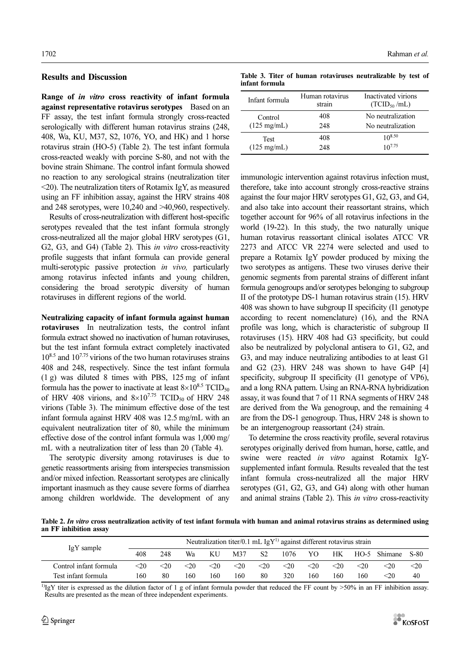### Results and Discussion

Range of in vitro cross reactivity of infant formula against representative rotavirus serotypes Based on an FF assay, the test infant formula strongly cross-reacted serologically with different human rotavirus strains (248, 408, Wa, KU, M37, S2, 1076, YO, and HK) and 1 horse rotavirus strain (HO-5) (Table 2). The test infant formula cross-reacted weakly with porcine S-80, and not with the bovine strain Shimane. The control infant formula showed no reaction to any serological strains (neutralization titer <20). The neutralization titers of Rotamix IgY, as measured using an FF inhibition assay, against the HRV strains 408 and 248 serotypes, were 10,240 and >40,960, respectively.

Results of cross-neutralization with different host-specific serotypes revealed that the test infant formula strongly cross-neutralized all the major global HRV serotypes (G1, G2, G3, and G4) (Table 2). This *in vitro* cross-reactivity profile suggests that infant formula can provide general multi-serotypic passive protection in vivo, particularly among rotavirus infected infants and young children, considering the broad serotypic diversity of human rotaviruses in different regions of the world.

Neutralizing capacity of infant formula against human rotaviruses In neutralization tests, the control infant formula extract showed no inactivation of human rotaviruses, but the test infant formula extract completely inactivated  $10^{8.5}$  and  $10^{7.75}$  virions of the two human rotaviruses strains 408 and 248, respectively. Since the test infant formula (1 g) was diluted 8 times with PBS, 125 mg of infant formula has the power to inactivate at least  $8\times10^{8.5}$  TCID<sub>50</sub> of HRV 408 virions, and  $8\times10^{7.75}$  TCID<sub>50</sub> of HRV 248 virions (Table 3). The minimum effective dose of the test infant formula against HRV 408 was 12.5 mg/mL with an equivalent neutralization titer of 80, while the minimum effective dose of the control infant formula was 1,000 mg/ mL with a neutralization titer of less than 20 (Table 4).

The serotypic diversity among rotaviruses is due to genetic reassortments arising from interspecies transmission and/or mixed infection. Reassortant serotypes are clinically important inasmuch as they cause severe forms of diarrhea among children worldwide. The development of any

Table 3. Titer of human rotaviruses neutralizable by test of infant formula

| Infant formula        | Human rotavirus<br>strain | Inactivated virions<br>(TCID <sub>50</sub> /mL) |
|-----------------------|---------------------------|-------------------------------------------------|
| Control               | 408                       | No neutralization                               |
| $(125 \text{ mg/mL})$ | 248                       | No neutralization                               |
| <b>Test</b>           | 408                       | $10^{8.50}$                                     |
| $(125 \text{ mg/mL})$ | 248                       | $10^{7.75}$                                     |

immunologic intervention against rotavirus infection must, therefore, take into account strongly cross-reactive strains against the four major HRV serotypes G1, G2, G3, and G4, and also take into account their reassortant strains, which together account for 96% of all rotavirus infections in the world (19-22). In this study, the two naturally unique human rotavirus reassortant clinical isolates ATCC VR 2273 and ATCC VR 2274 were selected and used to prepare a Rotamix IgY powder produced by mixing the two serotypes as antigens. These two viruses derive their genomic segments from parental strains of different infant formula genogroups and/or serotypes belonging to subgroup II of the prototype DS-1 human rotavirus strain (15). HRV 408 was shown to have subgroup II specificity (I1 genotype according to recent nomenclature) (16), and the RNA profile was long, which is characteristic of subgroup II rotaviruses (15). HRV 408 had G3 specificity, but could also be neutralized by polyclonal antisera to G1, G2, and G3, and may induce neutralizing antibodies to at least G1 and G2 (23). HRV 248 was shown to have G4P [4] specificity, subgroup II specificity (I1 genotype of VP6), and a long RNA pattern. Using an RNA-RNA hybridization assay, it was found that 7 of 11 RNA segments of HRV 248 are derived from the Wa genogroup, and the remaining 4 are from the DS-1 genogroup. Thus, HRV 248 is shown to be an intergenogroup reassortant (24) strain.

To determine the cross reactivity profile, several rotavirus serotypes originally derived from human, horse, cattle, and swine were reacted in vitro against Rotamix IgYsupplemented infant formula. Results revealed that the test infant formula cross-neutralized all the major HRV serotypes (G1, G2, G3, and G4) along with other human and animal strains (Table 2). This in vitro cross-reactivity

Table 2. In vitro cross neutralization activity of test infant formula with human and animal rotavirus strains as determined using an FF inhibition assay

| IgY sample             | Neutralization titer/0.1 mL $IgY^{1}$ against different rotavirus strain |      |      |        |      |                |           |        |        |        |              |      |
|------------------------|--------------------------------------------------------------------------|------|------|--------|------|----------------|-----------|--------|--------|--------|--------------|------|
|                        | 408                                                                      | 248  | Wa   | KU     | M37  | S <sub>2</sub> | 1076      | YO     | HК     |        | HO-5 Shimane | S-80 |
| Control infant formula | $<$ 20                                                                   | $20$ | $20$ | $<$ 20 | $20$ | $<$ 20         | $\leq$ 20 | $<$ 20 | $<$ 20 | $<$ 20 | $<$ 20       | $20$ |
| Test infant formula    | 160                                                                      | 80   | 160  | 160    | 160  | 80             | 320       | 160    | 160    | 160    | <20          | 40   |

 $^{1)}$ IgY titer is expressed as the dilution factor of 1 g of infant formula powder that reduced the FF count by >50% in an FF inhibition assay. Results are presented as the mean of three independent experiments.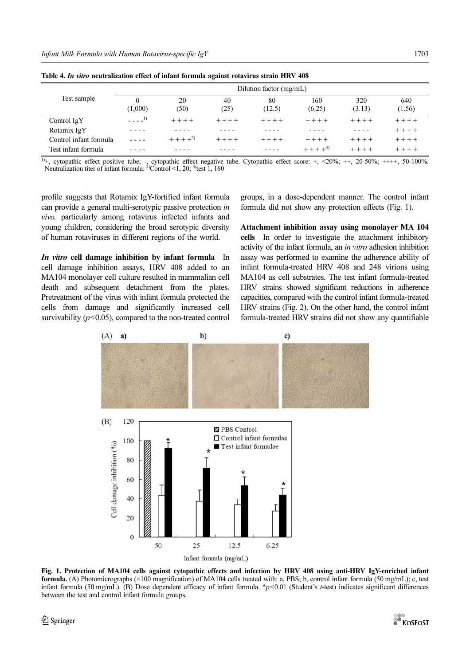|                        | Dilution factor (mg/mL) |            |            |              |               |               |               |  |  |  |
|------------------------|-------------------------|------------|------------|--------------|---------------|---------------|---------------|--|--|--|
| Test sample            | 0<br>(1,000)            | 20<br>(50) | 40<br>(25) | 80<br>(12.5) | 160<br>(6.25) | 320<br>(3.13) | 640<br>(1.56) |  |  |  |
| Control IgY            | $- - - -1$              | $+ + + +$  | $+ + + +$  | $+ + + +$    | $+ + + +$     | $+ + + +$     | $+ + + +$     |  |  |  |
| Rotamix IgY            |                         |            |            |              |               |               | $+ + + +$     |  |  |  |
| Control infant formula |                         | $+ + + +2$ | $+ + + +$  | $+ + + +$    | $+ + + +$     | $+ + + +$     | $+ + + +$     |  |  |  |
| Test infant formula    |                         |            |            |              | $+++++^{3)}$  | $+ + + +$     | $+ + + +$     |  |  |  |

Table 4. In vitro neutralization effect of infant formula against rotavirus strain HRV 408

<sup>1)</sup>+, cytopathic effect positive tube; -, cytopathic effect negative tube. Cytopathic effect score: +, <20%; ++, 20-50%; ++++, 50-100%. Neutralization titer of infant formula:  $^{2}$ Control <1, 20;  $^{3}$  test 1, 160

Test infant formula - - - - - - - - - - - - - - - - + + + +3) + + + + + + + +

profile suggests that Rotamix IgY-fortified infant formula can provide a general multi-serotypic passive protection in vivo, particularly among rotavirus infected infants and young children, considering the broad serotypic diversity of human rotaviruses in different regions of the world.

In vitro cell damage inhibition by infant formula In cell damage inhibition assays, HRV 408 added to an MA104 monolayer cell culture resulted in mammalian cell death and subsequent detachment from the plates. Pretreatment of the virus with infant formula protected the cells from damage and significantly increased cell survivability  $(p<0.05)$ , compared to the non-treated control groups, in a dose-dependent manner. The control infant formula did not show any protection effects (Fig. 1).

Attachment inhibition assay using monolayer MA 104 cells In order to investigate the attachment inhibitory activity of the infant formula, an in vitro adhesion inhibition assay was performed to examine the adherence ability of infant formula-treated HRV 408 and 248 virions using MA104 as cell substrates. The test infant formula-treated HRV strains showed significant reductions in adherence capacities, compared with the control infant formula-treated HRV strains (Fig. 2). On the other hand, the control infant formula-treated HRV strains did not show any quantifiable



Fig. 1. Protection of MA104 cells against cytopathic effects and infection by HRV 408 using anti-HRV IgY-enriched infant formula. (A) Photomicrographs (×100 magnification) of MA104 cells treated with: a, PBS; b, control infant formula (50 mg/mL); c, test infant formula (50 mg/mL). (B) Dose dependent efficacy of infant formula. \*p<0.01 (Student's t-test) indicates significant differences between the test and control infant formula groups.

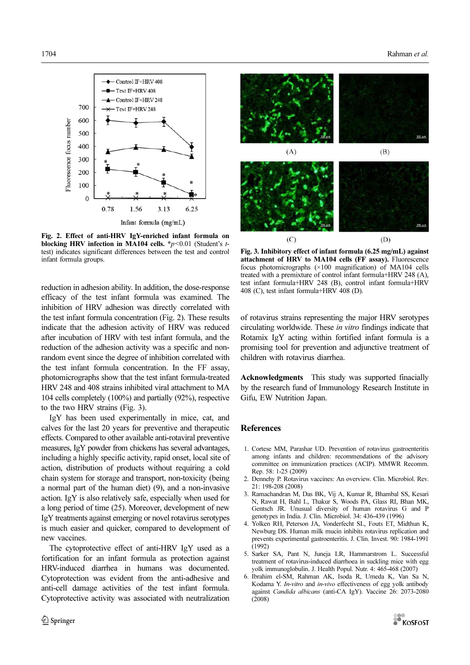

Fig. 2. Effect of anti-HRV IgY-enriched infant formula on blocking HRV infection in MA104 cells.  $\frac{*p}{0.01}$  (Student's ttest) indicates significant differences between the test and control infant formula groups.

reduction in adhesion ability. In addition, the dose-response efficacy of the test infant formula was examined. The inhibition of HRV adhesion was directly correlated with the test infant formula concentration (Fig. 2). These results indicate that the adhesion activity of HRV was reduced after incubation of HRV with test infant formula, and the reduction of the adhesion activity was a specific and nonrandom event since the degree of inhibition correlated with the test infant formula concentration. In the FF assay, photomicrographs show that the test infant formula-treated HRV 248 and 408 strains inhibited viral attachment to MA 104 cells completely (100%) and partially (92%), respective to the two HRV strains (Fig. 3).

IgY has been used experimentally in mice, cat, and calves for the last 20 years for preventive and therapeutic effects. Compared to other available anti-rotaviral preventive measures, IgY powder from chickens has several advantages, including a highly specific activity, rapid onset, local site of action, distribution of products without requiring a cold chain system for storage and transport, non-toxicity (being a normal part of the human diet) (9), and a non-invasive action. IgY is also relatively safe, especially when used for a long period of time (25). Moreover, development of new IgY treatments against emerging or novel rotavirus serotypes is much easier and quicker, compared to development of new vaccines.

The cytoprotective effect of anti-HRV IgY used as a fortification for an infant formula as protection against HRV-induced diarrhea in humans was documented. Cytoprotection was evident from the anti-adhesive and anti-cell damage activities of the test infant formula. Cytoprotective activity was associated with neutralization



Fig. 3. Inhibitory effect of infant formula (6.25 mg/mL) against attachment of HRV to MA104 cells (FF assay). Fluorescence focus photomicrographs (×100 magnification) of MA104 cells treated with a premixture of control infant formula+HRV 248 (A), test infant formula+HRV 248 (B), control infant formula+HRV 408 (C), test infant formula+HRV 408 (D).

of rotavirus strains representing the major HRV serotypes circulating worldwide. These in vitro findings indicate that Rotamix IgY acting within fortified infant formula is a promising tool for prevention and adjunctive treatment of children with rotavirus diarrhea.

Acknowledgments This study was supported finacially by the research fund of Immunology Research Institute in Gifu, EW Nutrition Japan.

### **References**

- 1. Cortese MM, Parashar UD. Prevention of rotavirus gastroenteritis among infants and children: recommendations of the advisory committee on immunization practices (ACIP). MMWR Recomm. Rep. 58: 1-25 (2009)
- 2. Dennehy P. Rotavirus vaccines: An overview. Clin. Microbiol. Rev. 21: 198-208 (2008)
- 3. Ramachandran M, Das BK, Vij A, Kumar R, Bhambal SS, Kesari N, Rawat H, Bahl L, Thakur S, Woods PA, Glass RI, Bhan MK, Gentsch JR. Unusual diversity of human rotavirus G and P genotypes in India. J. Clin. Microbiol. 34: 436-439 (1996)
- 4. Yolken RH, Peterson JA, Vonderfecht SL, Fouts ET, Midthun K, Newburg DS. Human milk mucin inhibits rotavirus replication and prevents experimental gastroenteritis. J. Clin. Invest. 90: 1984-1991 (1992)
- 5. Sarker SA, Pant N, Juneja LR, Hammarstrom L. Successful treatment of rotavirus-induced diarrhoea in suckling mice with egg yolk immunoglobulin. J. Health Popul. Nutr. 4: 465-468 (2007)
- 6. Ibrahim el-SM, Rahman AK, Isoda R, Umeda K, Van Sa N, Kodama Y. In-vitro and in-vivo effectiveness of egg yolk antibody against Candida albicans (anti-CA IgY). Vaccine 26: 2073-2080 (2008)